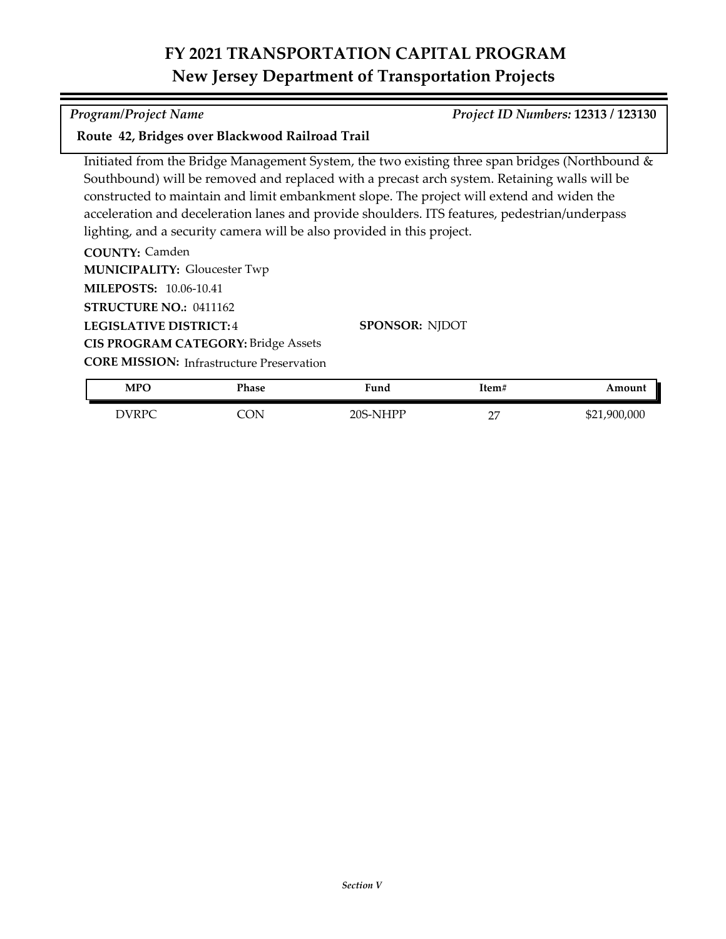## **FY 2021 TRANSPORTATION CAPITAL PROGRAM New Jersey Department of Transportation Projects**

### *Program/Project Name Project ID Numbers:* **12313 / 123130**

### **Route 42, Bridges over Blackwood Railroad Trail**

Initiated from the Bridge Management System, the two existing three span bridges (Northbound & Southbound) will be removed and replaced with a precast arch system. Retaining walls will be constructed to maintain and limit embankment slope. The project will extend and widen the acceleration and deceleration lanes and provide shoulders. ITS features, pedestrian/underpass lighting, and a security camera will be also provided in this project.

**COUNTY:** Camden **LEGISLATIVE DISTRICT:** 4 **MILEPOSTS:** 10.06-10.41 **STRUCTURE NO.:** 0411162 **MUNICIPALITY: Gloucester Twp CORE MISSION: Infrastructure Preservation SPONSOR:** NJDOT **CIS PROGRAM CATEGORY:** Bridge Assets

DVRPC CON 20S-NHPP 27 \$21,900,000 **MPO Phase Fund Item# Amount**